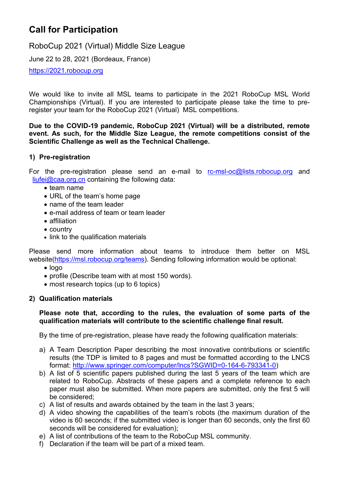# **Call for Participation**

RoboCup 2021 (Virtual) Middle Size League

June 22 to 28, 2021 (Bordeaux, France)

https://2021.robocup.org

We would like to invite all MSL teams to participate in the 2021 RoboCup MSL World Championships (Virtual). If you are interested to participate please take the time to preregister your team for the RoboCup 2021 (Virtual) MSL competitions.

### **Due to the COVID-19 pandemic, RoboCup 2021 (Virtual) will be a distributed, remote event. As such, for the Middle Size League, the remote competitions consist of the Scientific Challenge as well as the Technical Challenge.**

## **1) Pre-registration**

For the pre-registration please send an e-mail to [rc-msl-oc@lists.robocup.org](mailto:rc-msl-oc@lists.robocup.org) and  $liufei@caa.org cn containing the following data:$ 

- team name
- URL of the team's home page
- name of the team leader
- e-mail address of team or team leader
- affiliation
- country
- link to the qualification materials

Please send more information about teams to introduce them better on MSL website[\(https://msl.robocup.org/teams\)](https://msl.robocup.org/teams). Sending following information would be optional:

- logo
- profile (Describe team with at most 150 words).
- most research topics (up to 6 topics)

### **2) Qualification materials**

### **Please note that, according to the rules, the evaluation of some parts of the qualification materials will contribute to the scientific challenge final result.**

By the time of pre-registration, please have ready the following qualification materials:

- a) A Team Description Paper describing the most innovative contributions or scientific results (the TDP is limited to 8 pages and must be formatted according to the LNCS format: [http://www.springer.com/computer/lncs?SGWID=0-164-6-793341-0\)](http://www.springer.com/computer/lncs?SGWID=0-164-6-793341-0)
- b) A list of 5 scientific papers published during the last 5 years of the team which are related to RoboCup. Abstracts of these papers and a complete reference to each paper must also be submitted. When more papers are submitted, only the first 5 will be considered;
- c) A list of results and awards obtained by the team in the last 3 years;
- d) A video showing the capabilities of the team's robots (the maximum duration of the video is 60 seconds; if the submitted video is longer than 60 seconds, only the first 60 seconds will be considered for evaluation);
- e) A list of contributions of the team to the RoboCup MSL community.
- f) Declaration if the team will be part of a mixed team.